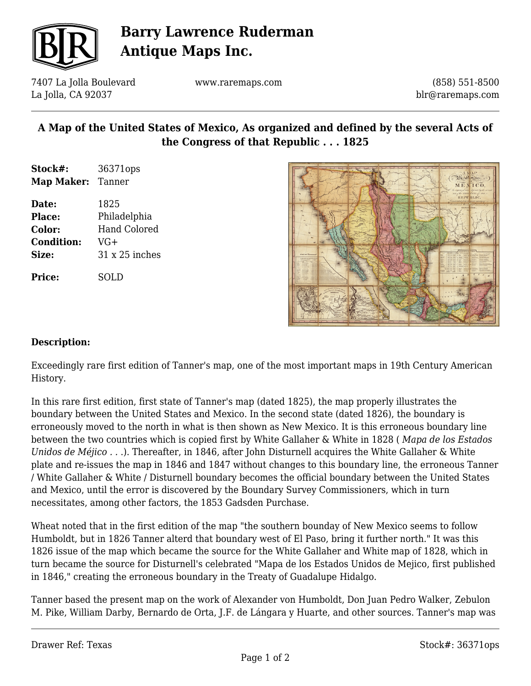

# **Barry Lawrence Ruderman Antique Maps Inc.**

7407 La Jolla Boulevard La Jolla, CA 92037

www.raremaps.com

(858) 551-8500 blr@raremaps.com

## **A Map of the United States of Mexico, As organized and defined by the several Acts of the Congress of that Republic . . . 1825**

- **Stock#:** 36371ops **Map Maker:** Tanner
- **Date:** 1825 **Place:** Philadelphia **Color:** Hand Colored **Condition:** VG+ **Size:** 31 x 25 inches

**Price:** SOLD



#### **Description:**

Exceedingly rare first edition of Tanner's map, one of the most important maps in 19th Century American History.

In this rare first edition, first state of Tanner's map (dated 1825), the map properly illustrates the boundary between the United States and Mexico. In the second state (dated 1826), the boundary is erroneously moved to the north in what is then shown as New Mexico. It is this erroneous boundary line between the two countries which is copied first by White Gallaher & White in 1828 ( *Mapa de los Estados Unidos de Méjico . .* .). Thereafter, in 1846, after John Disturnell acquires the White Gallaher & White plate and re-issues the map in 1846 and 1847 without changes to this boundary line, the erroneous Tanner / White Gallaher & White / Disturnell boundary becomes the official boundary between the United States and Mexico, until the error is discovered by the Boundary Survey Commissioners, which in turn necessitates, among other factors, the 1853 Gadsden Purchase.

Wheat noted that in the first edition of the map "the southern bounday of New Mexico seems to follow Humboldt, but in 1826 Tanner alterd that boundary west of El Paso, bring it further north." It was this 1826 issue of the map which became the source for the White Gallaher and White map of 1828, which in turn became the source for Disturnell's celebrated "Mapa de los Estados Unidos de Mejico, first published in 1846," creating the erroneous boundary in the Treaty of Guadalupe Hidalgo.

Tanner based the present map on the work of Alexander von Humboldt, Don Juan Pedro Walker, Zebulon M. Pike, William Darby, Bernardo de Orta, J.F. de Lángara y Huarte, and other sources. Tanner's map was